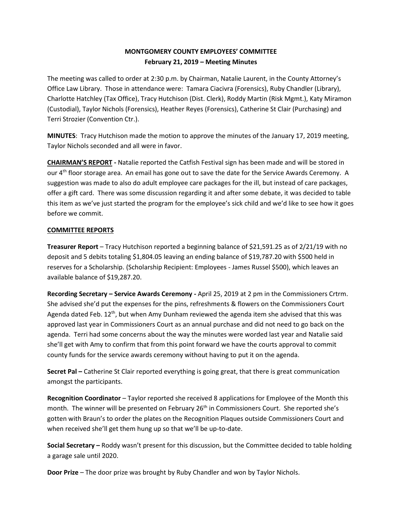## **MONTGOMERY COUNTY EMPLOYEES' COMMITTEE February 21, 2019 – Meeting Minutes**

The meeting was called to order at 2:30 p.m. by Chairman, Natalie Laurent, in the County Attorney's Office Law Library. Those in attendance were: Tamara Ciacivra (Forensics), Ruby Chandler (Library), Charlotte Hatchley (Tax Office), Tracy Hutchison (Dist. Clerk), Roddy Martin (Risk Mgmt.), Katy Miramon (Custodial), Taylor Nichols (Forensics), Heather Reyes (Forensics), Catherine St Clair (Purchasing) and Terri Strozier (Convention Ctr.).

**MINUTES**: Tracy Hutchison made the motion to approve the minutes of the January 17, 2019 meeting, Taylor Nichols seconded and all were in favor.

**CHAIRMAN'S REPORT -** Natalie reported the Catfish Festival sign has been made and will be stored in our 4<sup>th</sup> floor storage area. An email has gone out to save the date for the Service Awards Ceremony. A suggestion was made to also do adult employee care packages for the ill, but instead of care packages, offer a gift card. There was some discussion regarding it and after some debate, it was decided to table this item as we've just started the program for the employee's sick child and we'd like to see how it goes before we commit.

## **COMMITTEE REPORTS**

**Treasurer Report** – Tracy Hutchison reported a beginning balance of \$21,591.25 as of 2/21/19 with no deposit and 5 debits totaling \$1,804.05 leaving an ending balance of \$19,787.20 with \$500 held in reserves for a Scholarship. (Scholarship Recipient: Employees - James Russel \$500), which leaves an available balance of \$19,287.20.

**Recording Secretary – Service Awards Ceremony -** April 25, 2019 at 2 pm in the Commissioners Crtrm. She advised she'd put the expenses for the pins, refreshments & flowers on the Commissioners Court Agenda dated Feb.  $12^{th}$ , but when Amy Dunham reviewed the agenda item she advised that this was approved last year in Commissioners Court as an annual purchase and did not need to go back on the agenda. Terri had some concerns about the way the minutes were worded last year and Natalie said she'll get with Amy to confirm that from this point forward we have the courts approval to commit county funds for the service awards ceremony without having to put it on the agenda.

**Secret Pal –** Catherine St Clair reported everything is going great, that there is great communication amongst the participants.

**Recognition Coordinator** – Taylor reported she received 8 applications for Employee of the Month this month. The winner will be presented on February 26<sup>th</sup> in Commissioners Court. She reported she's gotten with Braun's to order the plates on the Recognition Plaques outside Commissioners Court and when received she'll get them hung up so that we'll be up-to-date.

**Social Secretary –** Roddy wasn't present for this discussion, but the Committee decided to table holding a garage sale until 2020.

**Door Prize** – The door prize was brought by Ruby Chandler and won by Taylor Nichols.